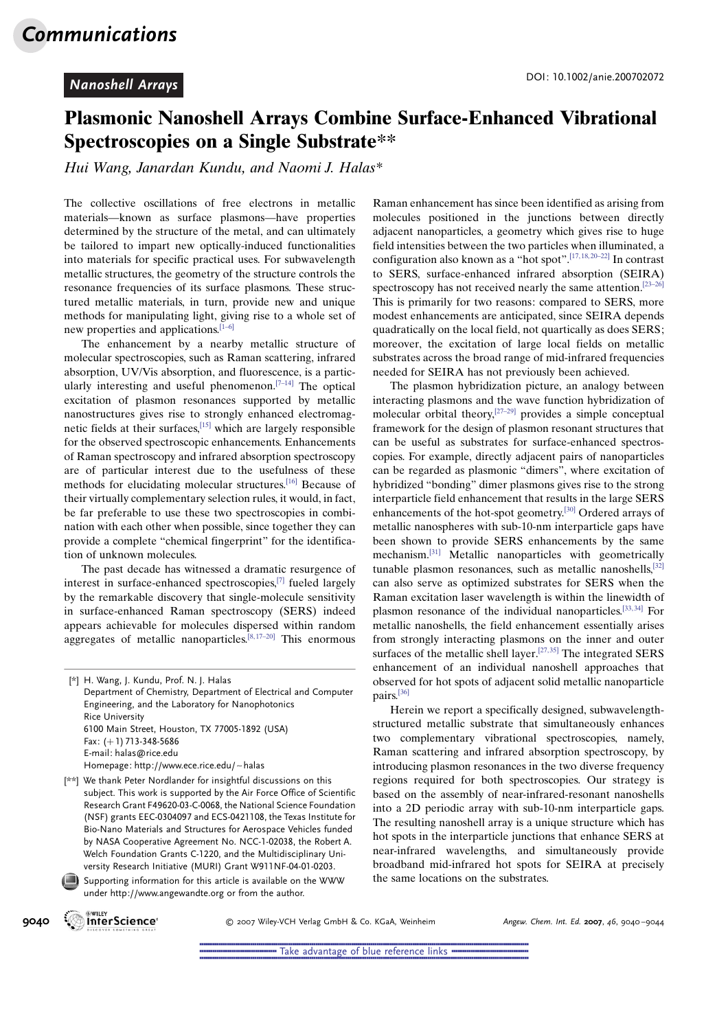### Plasmonic Nanoshell Arrays Combine Surface-Enhanced Vibrational Spectroscopies on a Single Substrate\*\*

Hui Wang, Janardan Kundu, and Naomi J. Halas\*

The collective oscillations of free electrons in metallic materials—known as surface plasmons—have properties determined by the structure of the metal, and can ultimately be tailored to impart new optically-induced functionalities into materials for specific practical uses. For subwavelength metallic structures, the geometry of the structure controls the resonance frequencies of its surface plasmons. These structured metallic materials, in turn, provide new and unique methods for manipulating light, giving rise to a whole set of new properties and applications.[\[1](#page-4-0)–[6\]](#page-4-0)

The enhancement by a nearby metallic structure of molecular spectroscopies, such as Raman scattering, infrared absorption, UV/Vis absorption, and fluorescence, is a particularly interesting and useful phenomenon.<sup>[7-14]</sup> The optical excitation of plasmon resonances supported by metallic nanostructures gives rise to strongly enhanced electromagnetic fields at their surfaces,[\[15\]](#page-4-0) which are largely responsible for the observed spectroscopic enhancements. Enhancements of Raman spectroscopy and infrared absorption spectroscopy are of particular interest due to the usefulness of these methods for elucidating molecular structures.[[16](#page-4-0)] Because of their virtually complementary selection rules, it would, in fact, be far preferable to use these two spectroscopies in combination with each other when possible, since together they can provide a complete "chemical fingerprint" for the identification of unknown molecules.

The past decade has witnessed a dramatic resurgence of interest in surface-enhanced spectroscopies,[[7\]](#page-4-0) fueled largely by the remarkable discovery that single-molecule sensitivity in surface-enhanced Raman spectroscopy (SERS) indeed appears achievable for molecules dispersed within random aggregates of metallic nanoparticles. $[8,17-20]$  $[8,17-20]$  This enormous

Supporting information for this article is available on the WWW under http://www.angewandte.org or from the author.

The plasmon hybridization picture, an analogy between interacting plasmons and the wave function hybridization of molecular orbital theory, $[27-29]$  provides a simple conceptual framework for the design of plasmon resonant structures that can be useful as substrates for surface-enhanced spectroscopies. For example, directly adjacent pairs of nanoparticles can be regarded as plasmonic "dimers", where excitation of hybridized "bonding" dimer plasmons gives rise to the strong interparticle field enhancement that results in the large SERS enhancements of the hot-spot geometry.[\[30\]](#page-4-0) Ordered arrays of metallic nanospheres with sub-10-nm interparticle gaps have been shown to provide SERS enhancements by the same mechanism.[[31](#page-4-0)] Metallic nanoparticles with geometrically tunable plasmon resonances, such as metallic nanoshells,<sup>[\[32\]](#page-4-0)</sup> can also serve as optimized substrates for SERS when the Raman excitation laser wavelength is within the linewidth of plasmon resonance of the individual nanoparticles.<sup>[[33](#page-4-0),34]</sup> For metallic nanoshells, the field enhancement essentially arises from strongly interacting plasmons on the inner and outer surfaces of the metallic shell layer.<sup>[[27](#page-4-0),35]</sup> The integrated SERS enhancement of an individual nanoshell approaches that observed for hot spots of adjacent solid metallic nanoparticle pairs.[\[36\]](#page-4-0)

Herein we report a specifically designed, subwavelengthstructured metallic substrate that simultaneously enhances two complementary vibrational spectroscopies, namely, Raman scattering and infrared absorption spectroscopy, by introducing plasmon resonances in the two diverse frequency regions required for both spectroscopies. Our strategy is based on the assembly of near-infrared-resonant nanoshells into a 2D periodic array with sub-10-nm interparticle gaps. The resulting nanoshell array is a unique structure which has hot spots in the interparticle junctions that enhance SERS at near-infrared wavelengths, and simultaneously provide broadband mid-infrared hot spots for SEIRA at precisely the same locations on the substrates.



9040 WHEY WILEY CONTROLL CONTROLL TO 2007 Wiley-VCH Verlag GmbH & Co. KGaA, Weinheim Angew. Chem. Int. Ed. 2007, 46, 9040-9044

<sup>[\*]</sup> H. Wang, J. Kundu, Prof. N. J. Halas Department of Chemistry, Department of Electrical and Computer Engineering, and the Laboratory for Nanophotonics Rice University 6100 Main Street, Houston, TX 77005-1892 (USA) Fax: (+1) 713-348-5686 E-mail: halas@rice.edu Homepage: http://www.ece.rice.edu/~halas

<sup>[\*\*]</sup> We thank Peter Nordlander for insightful discussions on this subject. This work is supported by the Air Force Office of Scientific Research Grant F49620-03-C-0068, the National Science Foundation (NSF) grants EEC-0304097 and ECS-0421108, the Texas Institute for Bio-Nano Materials and Structures for Aerospace Vehicles funded by NASA Cooperative Agreement No. NCC-1-02038, the Robert A. Welch Foundation Grants C-1220, and the Multidisciplinary University Research Initiative (MURI) Grant W911NF-04-01-0203.

Raman enhancement has since been identified as arising from molecules positioned in the junctions between directly adjacent nanoparticles, a geometry which gives rise to huge field intensities between the two particles when illuminated, a configuration also known as a "hot spot".[\[17, 18, 20–22\]](#page-4-0) In contrast to SERS, surface-enhanced infrared absorption (SEIRA) spectroscopy has not received nearly the same attention.<sup>[\[23–26\]](#page-4-0)</sup> This is primarily for two reasons: compared to SERS, more modest enhancements are anticipated, since SEIRA depends quadratically on the local field, not quartically as does SERS; moreover, the excitation of large local fields on metallic substrates across the broad range of mid-infrared frequencies needed for SEIRA has not previously been achieved.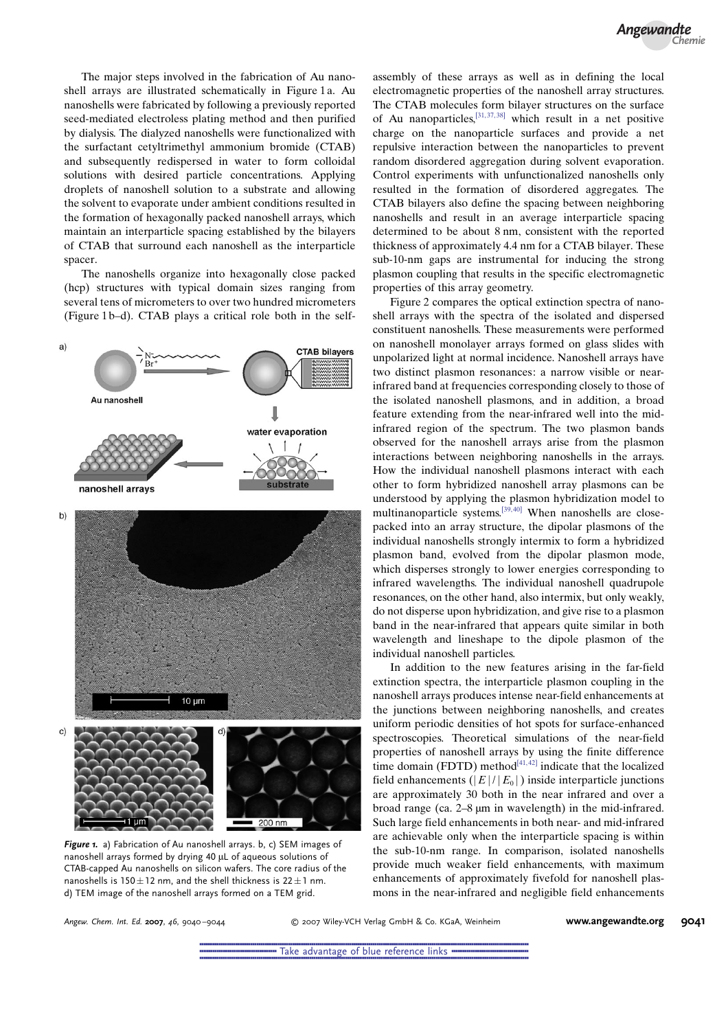The major steps involved in the fabrication of Au nanoshell arrays are illustrated schematically in Figure 1a. Au nanoshells were fabricated by following a previously reported seed-mediated electroless plating method and then purified by dialysis. The dialyzed nanoshells were functionalized with the surfactant cetyltrimethyl ammonium bromide (CTAB) and subsequently redispersed in water to form colloidal solutions with desired particle concentrations. Applying droplets of nanoshell solution to a substrate and allowing the solvent to evaporate under ambient conditions resulted in the formation of hexagonally packed nanoshell arrays, which maintain an interparticle spacing established by the bilayers of CTAB that surround each nanoshell as the interparticle spacer.

The nanoshells organize into hexagonally close packed (hcp) structures with typical domain sizes ranging from several tens of micrometers to over two hundred micrometers (Figure 1 b–d). CTAB plays a critical role both in the self-



Figure 1. a) Fabrication of Au nanoshell arrays. b, c) SEM images of nanoshell arrays formed by drying 40 µL of aqueous solutions of CTAB-capped Au nanoshells on silicon wafers. The core radius of the nanoshells is  $150 \pm 12$  nm, and the shell thickness is  $22 \pm 1$  nm. d) TEM image of the nanoshell arrays formed on a TEM grid.

assembly of these arrays as well as in defining the local electromagnetic properties of the nanoshell array structures. The CTAB molecules form bilayer structures on the surface of Au nanoparticles,  $[31, 37, 38]$  $[31, 37, 38]$  which result in a net positive charge on the nanoparticle surfaces and provide a net repulsive interaction between the nanoparticles to prevent random disordered aggregation during solvent evaporation. Control experiments with unfunctionalized nanoshells only resulted in the formation of disordered aggregates. The CTAB bilayers also define the spacing between neighboring nanoshells and result in an average interparticle spacing determined to be about 8 nm, consistent with the reported thickness of approximately 4.4 nm for a CTAB bilayer. These sub-10-nm gaps are instrumental for inducing the strong plasmon coupling that results in the specific electromagnetic properties of this array geometry.

Figure 2 compares the optical extinction spectra of nanoshell arrays with the spectra of the isolated and dispersed constituent nanoshells. These measurements were performed on nanoshell monolayer arrays formed on glass slides with unpolarized light at normal incidence. Nanoshell arrays have two distinct plasmon resonances: a narrow visible or nearinfrared band at frequencies corresponding closely to those of the isolated nanoshell plasmons, and in addition, a broad feature extending from the near-infrared well into the midinfrared region of the spectrum. The two plasmon bands observed for the nanoshell arrays arise from the plasmon interactions between neighboring nanoshells in the arrays. How the individual nanoshell plasmons interact with each other to form hybridized nanoshell array plasmons can be understood by applying the plasmon hybridization model to multinanoparticle systems.<sup>[[39](#page-4-0), [40](#page-4-0)]</sup> When nanoshells are closepacked into an array structure, the dipolar plasmons of the individual nanoshells strongly intermix to form a hybridized plasmon band, evolved from the dipolar plasmon mode, which disperses strongly to lower energies corresponding to infrared wavelengths. The individual nanoshell quadrupole resonances, on the other hand, also intermix, but only weakly, do not disperse upon hybridization, and give rise to a plasmon band in the near-infrared that appears quite similar in both wavelength and lineshape to the dipole plasmon of the individual nanoshell particles.

In addition to the new features arising in the far-field extinction spectra, the interparticle plasmon coupling in the nanoshell arrays produces intense near-field enhancements at the junctions between neighboring nanoshells, and creates uniform periodic densities of hot spots for surface-enhanced spectroscopies. Theoretical simulations of the near-field properties of nanoshell arrays by using the finite difference time domain (FDTD) method<sup>[41,42]</sup> indicate that the localized field enhancements ( $|E|/|E_0|$ ) inside interparticle junctions are approximately 30 both in the near infrared and over a broad range (ca.  $2-8 \mu m$  in wavelength) in the mid-infrared. Such large field enhancements in both near- and mid-infrared are achievable only when the interparticle spacing is within the sub-10-nm range. In comparison, isolated nanoshells provide much weaker field enhancements, with maximum enhancements of approximately fivefold for nanoshell plasmons in the near-infrared and negligible field enhancements

Angew. Chem. Int. Ed. <sup>2007</sup>, <sup>46</sup>, 9040 –9044 ! 2007 Wiley-VCH Verlag GmbH & Co. KGaA, Weinheim [www.angewandte.org](http://www.angewandte.org) 9041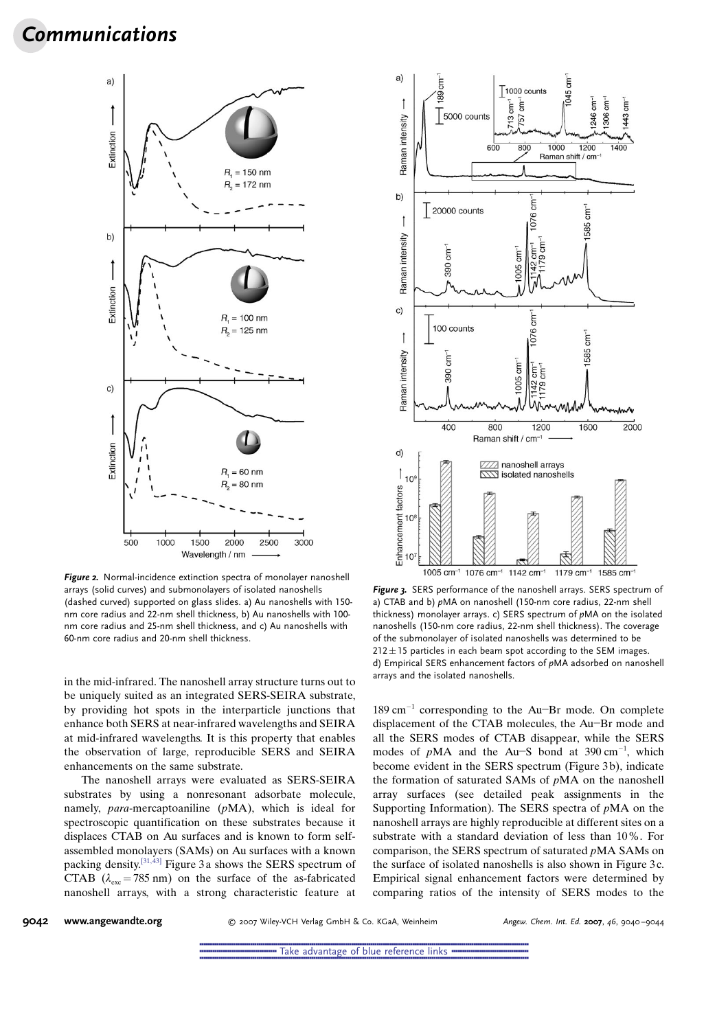# Communications



Figure 2. Normal-incidence extinction spectra of monolayer nanoshell arrays (solid curves) and submonolayers of isolated nanoshells (dashed curved) supported on glass slides. a) Au nanoshells with 150 nm core radius and 22-nm shell thickness, b) Au nanoshells with 100 nm core radius and 25-nm shell thickness, and c) Au nanoshells with 60-nm core radius and 20-nm shell thickness.

in the mid-infrared. The nanoshell array structure turns out to be uniquely suited as an integrated SERS-SEIRA substrate, by providing hot spots in the interparticle junctions that enhance both SERS at near-infrared wavelengths and SEIRA at mid-infrared wavelengths. It is this property that enables the observation of large, reproducible SERS and SEIRA enhancements on the same substrate.

The nanoshell arrays were evaluated as SERS-SEIRA substrates by using a nonresonant adsorbate molecule, namely, para-mercaptoaniline (pMA), which is ideal for spectroscopic quantification on these substrates because it displaces CTAB on Au surfaces and is known to form selfassembled monolayers (SAMs) on Au surfaces with a known packing density.<sup>[31,43]</sup> Figure 3a shows the SERS spectrum of CTAB  $(\lambda_{\text{esc}} = 785 \text{ nm})$  on the surface of the as-fabricated nanoshell arrays, with a strong characteristic feature at



Figure 3. SERS performance of the nanoshell arrays. SERS spectrum of a) CTAB and b) pMA on nanoshell (150-nm core radius, 22-nm shell thickness) monolayer arrays. c) SERS spectrum of pMA on the isolated nanoshells (150-nm core radius, 22-nm shell thickness). The coverage of the submonolayer of isolated nanoshells was determined to be  $212 \pm 15$  particles in each beam spot according to the SEM images. d) Empirical SERS enhancement factors of pMA adsorbed on nanoshell arrays and the isolated nanoshells.

 $189 \text{ cm}^{-1}$  corresponding to the Au-Br mode. On complete displacement of the CTAB molecules, the Au-Br mode and all the SERS modes of CTAB disappear, while the SERS modes of  $pMA$  and the Au-S bond at 390 cm<sup>-1</sup>, which become evident in the SERS spectrum (Figure 3b), indicate the formation of saturated SAMs of pMA on the nanoshell array surfaces (see detailed peak assignments in the Supporting Information). The SERS spectra of pMA on the nanoshell arrays are highly reproducible at different sites on a substrate with a standard deviation of less than 10%. For comparison, the SERS spectrum of saturated pMA SAMs on the surface of isolated nanoshells is also shown in Figure 3 c. Empirical signal enhancement factors were determined by comparing ratios of the intensity of SERS modes to the

9042 [www.angewandte.org](http://www.angewandte.org) **800 CES ANGE OF STAN VERTAGE GMBH & Co. KGaA, Weinheim** Angew. Chem. Int. Ed. 2007, 46, 9040-9044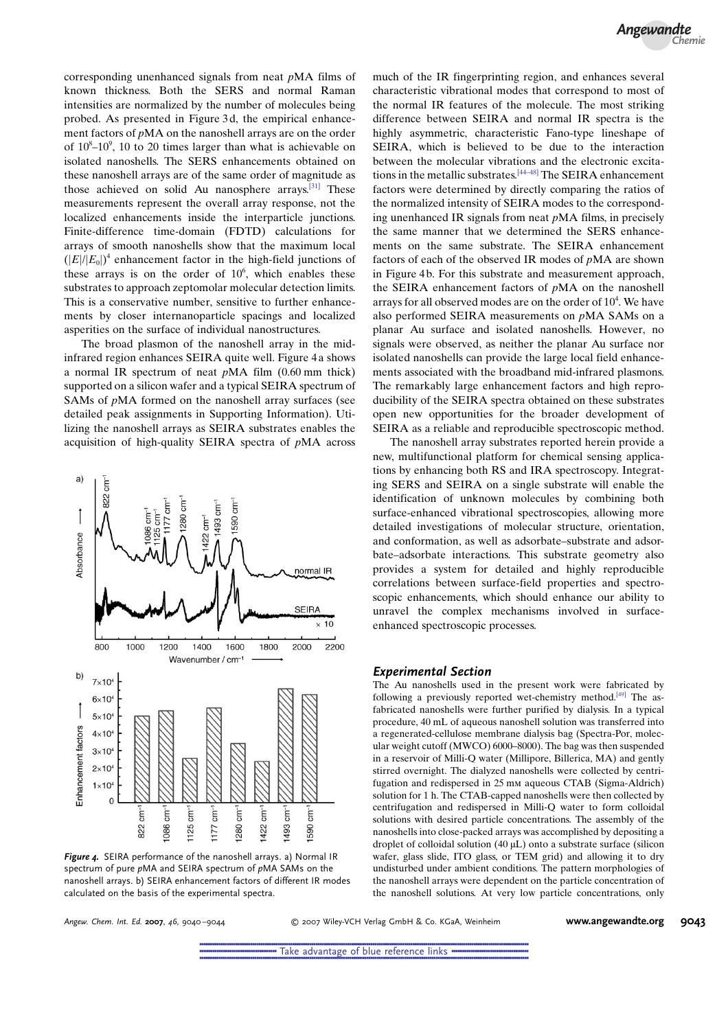corresponding unenhanced signals from neat pMA films of known thickness. Both the SERS and normal Raman intensities are normalized by the number of molecules being probed. As presented in Figure 3 d, the empirical enhancement factors of pMA on the nanoshell arrays are on the order of  $10^8 - 10^9$ , 10 to 20 times larger than what is achievable on isolated nanoshells. The SERS enhancements obtained on these nanoshell arrays are of the same order of magnitude as those achieved on solid Au nanosphere arrays.[\[31\]](#page-4-0) These measurements represent the overall array response, not the localized enhancements inside the interparticle junctions. Finite-difference time-domain (FDTD) calculations for arrays of smooth nanoshells show that the maximum local  $(|E|/|E_0|)^4$  enhancement factor in the high-field junctions of these arrays is on the order of  $10<sup>6</sup>$ , which enables these substrates to approach zeptomolar molecular detection limits. This is a conservative number, sensitive to further enhancements by closer internanoparticle spacings and localized asperities on the surface of individual nanostructures.

The broad plasmon of the nanoshell array in the midinfrared region enhances SEIRA quite well. Figure 4 a shows a normal IR spectrum of neat pMA film (0.60 mm thick) supported on a silicon wafer and a typical SEIRA spectrum of SAMs of pMA formed on the nanoshell array surfaces (see detailed peak assignments in Supporting Information). Utilizing the nanoshell arrays as SEIRA substrates enables the acquisition of high-quality SEIRA spectra of pMA across



Figure 4. SEIRA performance of the nanoshell arrays. a) Normal IR spectrum of pure pMA and SEIRA spectrum of pMA SAMs on the nanoshell arrays. b) SEIRA enhancement factors of different IR modes calculated on the basis of the experimental spectra.

much of the IR fingerprinting region, and enhances several characteristic vibrational modes that correspond to most of the normal IR features of the molecule. The most striking difference between SEIRA and normal IR spectra is the highly asymmetric, characteristic Fano-type lineshape of SEIRA, which is believed to be due to the interaction between the molecular vibrations and the electronic excitations in the metallic substrates.[[44](#page-4-0)–[48](#page-4-0)] The SEIRA enhancement factors were determined by directly comparing the ratios of the normalized intensity of SEIRA modes to the corresponding unenhanced IR signals from neat pMA films, in precisely the same manner that we determined the SERS enhancements on the same substrate. The SEIRA enhancement factors of each of the observed IR modes of  $pMA$  are shown in Figure 4 b. For this substrate and measurement approach, the SEIRA enhancement factors of pMA on the nanoshell arrays for all observed modes are on the order of  $10<sup>4</sup>$ . We have also performed SEIRA measurements on pMA SAMs on a planar Au surface and isolated nanoshells. However, no signals were observed, as neither the planar Au surface nor isolated nanoshells can provide the large local field enhancements associated with the broadband mid-infrared plasmons. The remarkably large enhancement factors and high reproducibility of the SEIRA spectra obtained on these substrates open new opportunities for the broader development of SEIRA as a reliable and reproducible spectroscopic method.

The nanoshell array substrates reported herein provide a new, multifunctional platform for chemical sensing applications by enhancing both RS and IRA spectroscopy. Integrating SERS and SEIRA on a single substrate will enable the identification of unknown molecules by combining both surface-enhanced vibrational spectroscopies, allowing more detailed investigations of molecular structure, orientation, and conformation, as well as adsorbate–substrate and adsorbate–adsorbate interactions. This substrate geometry also provides a system for detailed and highly reproducible correlations between surface-field properties and spectroscopic enhancements, which should enhance our ability to unravel the complex mechanisms involved in surfaceenhanced spectroscopic processes.

#### Experimental Section

The Au nanoshells used in the present work were fabricated by following a previously reported wet-chemistry method.<sup>[\[49](#page-4-0)]</sup> The asfabricated nanoshells were further purified by dialysis. In a typical procedure, 40 mL of aqueous nanoshell solution was transferred into a regenerated-cellulose membrane dialysis bag (Spectra-Por, molecular weight cutoff (MWCO) 6000–8000). The bag was then suspended in a reservoir of Milli-Q water (Millipore, Billerica, MA) and gently stirred overnight. The dialyzed nanoshells were collected by centrifugation and redispersed in 25 mm aqueous CTAB (Sigma-Aldrich) solution for 1 h. The CTAB-capped nanoshells were then collected by centrifugation and redispersed in Milli-Q water to form colloidal solutions with desired particle concentrations. The assembly of the nanoshells into close-packed arrays was accomplished by depositing a droplet of colloidal solution  $(40 \mu L)$  onto a substrate surface (silicon wafer, glass slide, ITO glass, or TEM grid) and allowing it to dry undisturbed under ambient conditions. The pattern morphologies of the nanoshell arrays were dependent on the particle concentration of the nanoshell solutions. At very low particle concentrations, only

Angew. Chem. Int. Ed. 2007, 46, 9040-9044 C 2007 Wiley-VCH Verlag GmbH & Co. KGaA, Weinheim **[www.angewandte.org](http://www.angewandte.org) 9043**